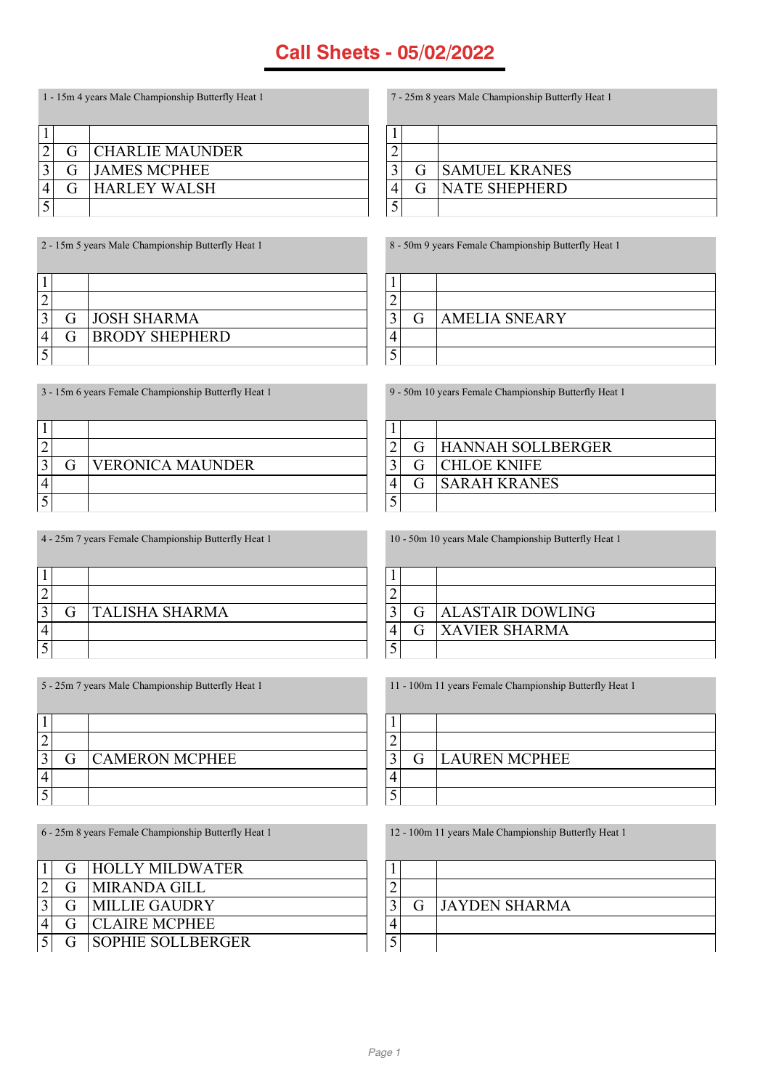1 - 15m 4 years Male Championship Butterfly Heat 1

| G | <b>CHARLIE MAUNDER</b> |
|---|------------------------|
| G | <b>JAMES MCPHEE</b>    |
| G | <b>HARLEY WALSH</b>    |
|   |                        |

| $G_{\square}$ | <b>SAMUEL KRANES</b> |
|---------------|----------------------|
| G             | <b>NATE SHEPHERD</b> |
|               |                      |

8 - 50m 9 years Female Championship Butterfly Heat 1

7 - 25m 8 years Male Championship Butterfly Heat 1

G AMELIA SNEARY

2 - 15m 5 years Male Championship Butterfly Heat 1 3 G JOSH SHARMA<br>4 G BRODY SHEPH G BRODY SHEPHERD 

3 - 15m 6 years Female Championship Butterfly Heat 1  $\Box$  $\mathbf{I}$ 

| -- |   |                         |
|----|---|-------------------------|
|    |   |                         |
|    | G | <b>VERONICA MAUNDER</b> |
|    |   |                         |
|    |   |                         |

| 9 - 50m 10 years Female Championship Butterfly Heat 1 |   |                     |
|-------------------------------------------------------|---|---------------------|
|                                                       |   |                     |
| ി                                                     | G | HANNAH SOLLBERGER   |
| $\mathbf{r}$                                          | G | <b>CHLOE KNIFE</b>  |
|                                                       | G | <b>SARAH KRANES</b> |
|                                                       |   |                     |

4 - 25m 7 years Female Championship Butterfly Heat 1

|  | <b>G</b> TALISHA SHARMA |
|--|-------------------------|
|  |                         |
|  |                         |

5 - 25m 7 years Male Championship Butterfly Heat 1

| G | <b>CAMERON MCPHEE</b> |
|---|-----------------------|
|   |                       |
|   |                       |

6 - 25m 8 years Female Championship Butterfly Heat 1

|               |   | G HOLLY MILDWATER        |
|---------------|---|--------------------------|
| $\mathcal{D}$ | G | <b>IMIRANDA GILL</b>     |
| $\mathbf{r}$  | G | <b>IMILLIE GAUDRY</b>    |
|               |   | <b>G</b> ICLAIRE MCPHEE  |
|               |   | <b>SOPHIE SOLLBERGER</b> |

11 - 100m 11 years Female Championship Butterfly Heat 1

|  | <b>G</b> LAUREN MCPHEE |
|--|------------------------|
|  |                        |
|  |                        |

12 - 100m 11 years Male Championship Butterfly Heat 1

|  | <b>G</b> JAYDEN SHARMA |
|--|------------------------|
|  |                        |
|  |                        |

10 - 50m 10 years Male Championship Butterfly Heat 1

3 G ALASTAIR DOWLING G XAVIER SHARMA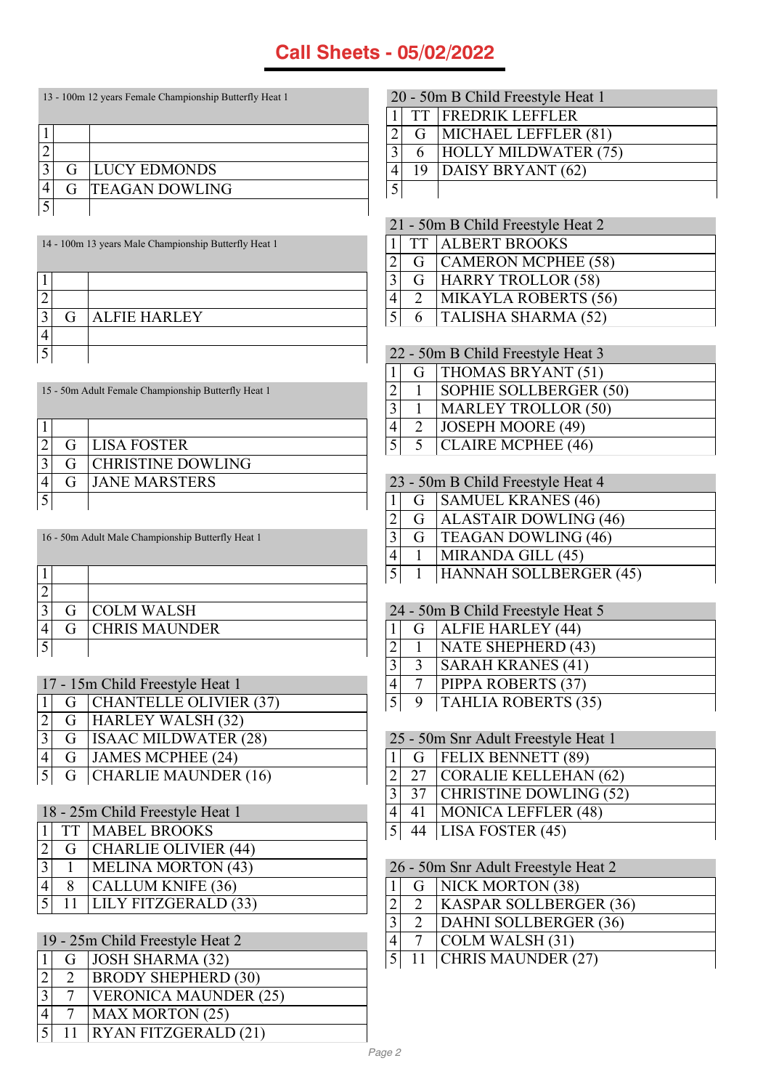| 13 - 100m 12 years Female Championship Butterfly Heat 1 |                       |  |  |
|---------------------------------------------------------|-----------------------|--|--|
|                                                         |                       |  |  |
|                                                         |                       |  |  |
| G                                                       | <b>LUCY EDMONDS</b>   |  |  |
| G                                                       | <b>TEAGAN DOWLING</b> |  |  |
|                                                         |                       |  |  |

| 14 - 100m 13 years Male Championship Butterfly Heat 1 | TT TALBERT BROOKS                 |
|-------------------------------------------------------|-----------------------------------|
|                                                       | G CAMERON MCPHEE (5)              |
|                                                       | G HARRY TROLLOR (58)              |
|                                                       | <b>MIKAYLA ROBERTS (5</b>         |
| <b>ALFIE HARLEY</b>                                   | <b>TALISHA SHARMA (52)</b>        |
|                                                       |                                   |
|                                                       | 22 - 50m B Child Freestyle Heat 3 |

|   | <b>G</b> LISA FOSTER       |
|---|----------------------------|
|   | <b>G</b> CHRISTINE DOWLING |
| G | <b>JANE MARSTERS</b>       |
|   |                            |

16 - 50m Adult Male Championship Butterfly Heat 1

15 - 50m Adult Female Championship Butterfly Heat 1

|   | <b>G</b> COLM WALSH   |
|---|-----------------------|
| G | <b>ICHRIS MAUNDER</b> |
|   |                       |

| 17 - 15m Child Freestyle Heat 1 |  |                            |
|---------------------------------|--|----------------------------|
|                                 |  | G   CHANTELLE OLIVIER (37) |
| $\vert$ 2                       |  | G HARLEY WALSH (32)        |
| $\overline{3}$                  |  | G   ISAAC MILDWATER (28)   |
| $\overline{4}$                  |  | G JAMES MCPHEE (24)        |
|                                 |  | 5 G CHARLIE MAUNDER (16)   |

| 18 - 25m Child Freestyle Heat 1 |  |                          |  |
|---------------------------------|--|--------------------------|--|
|                                 |  | 1 TT MABEL BROOKS        |  |
| 2                               |  | G   CHARLIE OLIVIER (44) |  |
| $\overline{3}$                  |  | MELINA MORTON (43)       |  |
|                                 |  | <b>CALLUM KNIFE (36)</b> |  |
| $\overline{5}$                  |  | LILY FITZGERALD (33)     |  |

| 19 - 25m Child Freestyle Heat 2 |    |                              |
|---------------------------------|----|------------------------------|
|                                 |    | G   JOSH SHARMA (32)         |
|                                 |    | <b>BRODY SHEPHERD (30)</b>   |
|                                 |    | <b>VERONICA MAUNDER (25)</b> |
|                                 |    | MAX MORTON (25)              |
| $\sim$ 5 $^{\circ}$             | 11 | <b>RYAN FITZGERALD (21)</b>  |

|                | 20 - 50m B Child Freestyle Heat 1 |                             |  |  |  |
|----------------|-----------------------------------|-----------------------------|--|--|--|
|                |                                   | <b>TT FREDRIK LEFFLER</b>   |  |  |  |
| $\overline{2}$ |                                   | G   MICHAEL LEFFLER (81)    |  |  |  |
| 3              | 6                                 | <b>HOLLY MILDWATER (75)</b> |  |  |  |
| $\overline{4}$ |                                   | 19   DAISY BRYANT (62)      |  |  |  |
| 5              |                                   |                             |  |  |  |
|                |                                   |                             |  |  |  |

| 21 - 50m B Child Freestyle Heat 2 |               |                         |  |
|-----------------------------------|---------------|-------------------------|--|
|                                   |               | 1 TT ALBERT BROOKS      |  |
| $2\mathsf{l}$                     |               | G   CAMERON MCPHEE (58) |  |
| 3 <sup>1</sup>                    |               | G HARRY TROLLOR (58)    |  |
| 4                                 | $\mathcal{D}$ | MIKAYLA ROBERTS (56)    |  |
| $\overline{5}$                    |               | 6   TALISHA SHARMA (52) |  |
|                                   |               |                         |  |

| 22 - 50m B Child Freestyle Heat 3 |                            |  |  |
|-----------------------------------|----------------------------|--|--|
|                                   | G   THOMAS BRYANT (51)     |  |  |
|                                   | SOPHIE SOLLBERGER (50)     |  |  |
|                                   | <b>MARLEY TROLLOR (50)</b> |  |  |
| $\mathcal{D}$                     | <b>JOSEPH MOORE (49)</b>   |  |  |
| 5 <sup>5</sup>                    | <b>CLAIRE MCPHEE (46)</b>  |  |  |
|                                   |                            |  |  |

| 23 - 50m B Child Freestyle Heat 4 |   |                              |
|-----------------------------------|---|------------------------------|
|                                   |   | G SAMUEL KRANES (46)         |
| $\overline{2}$                    | G | <b>ALASTAIR DOWLING (46)</b> |
| $\overline{3}$                    |   | G   TEAGAN DOWLING (46)      |
| $\overline{4}$                    |   | MIRANDA GILL (45)            |
| $\overline{5}$                    |   | HANNAH SOLLBERGER (45)       |

| 24 - 50m B Child Freestyle Heat 5 |              |                            |  |
|-----------------------------------|--------------|----------------------------|--|
|                                   |              | G   ALFIE HARLEY (44)      |  |
| $\overline{2}$                    |              | NATE SHEPHERD (43)         |  |
| 3                                 | $\mathbf{R}$ | <b>SARAH KRANES (41)</b>   |  |
|                                   |              | <b>PIPPA ROBERTS (37)</b>  |  |
| 5                                 | 9            | <b>TAHLIA ROBERTS (35)</b> |  |

| 25 - 50m Snr Adult Freestyle Heat 1 |    |                                 |
|-------------------------------------|----|---------------------------------|
|                                     |    | $1 \mid G$   FELIX BENNETT (89) |
| $\overline{2}$                      |    | 27   CORALIE KELLEHAN (62)      |
| 3 <sup>1</sup>                      |    | 37 CHRISTINE DOWLING (52)       |
|                                     | 41 | <b>MONICA LEFFLER (48)</b>      |
| 5 <sup>1</sup>                      |    | 44   LISA FOSTER $(45)$         |

| 26 - 50m Snr Adult Freestyle Heat 2 |               |                                         |  |  |
|-------------------------------------|---------------|-----------------------------------------|--|--|
|                                     |               | G NICK MORTON (38)                      |  |  |
| $\overline{2}$                      | $\mathcal{D}$ | <b>KASPAR SOLLBERGER (36)</b>           |  |  |
| 3                                   |               | 2 DAHNI SOLLBERGER (36)                 |  |  |
| 4                                   |               | $\vert$ COLM WALSH $(31)$               |  |  |
|                                     |               | $\overline{5 }$ 11   CHRIS MAUNDER (27) |  |  |
|                                     |               |                                         |  |  |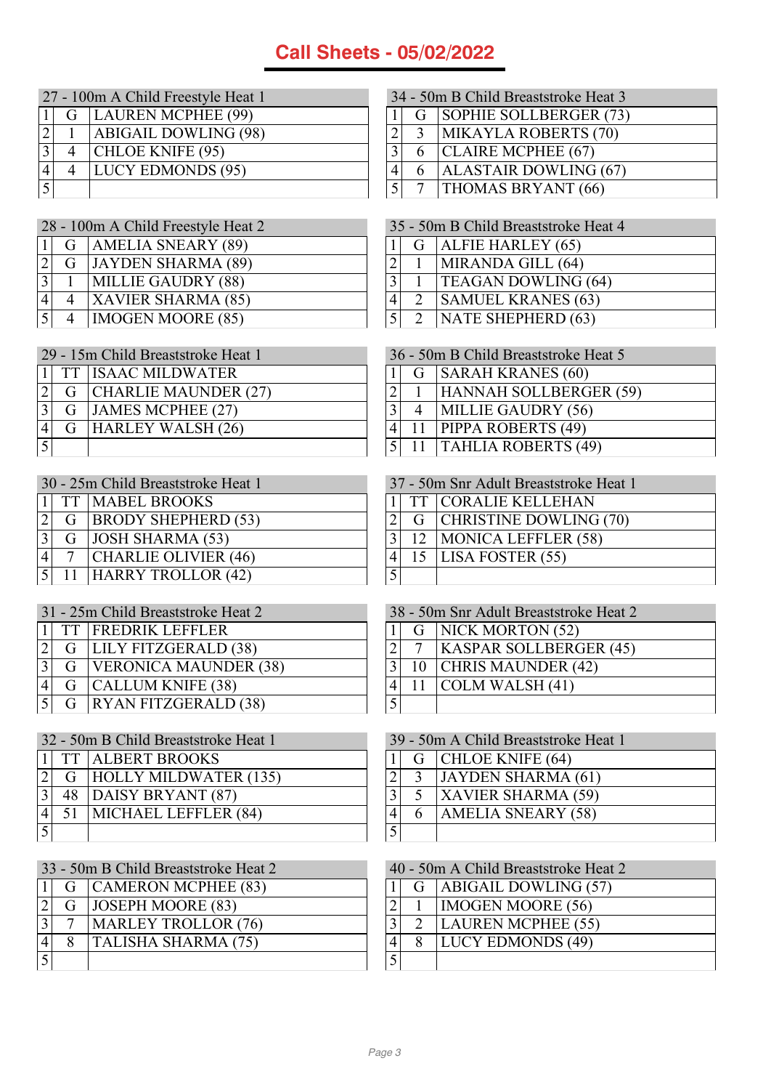| 27 - 100m A Child Freestyle Heat 1 |  |                             |  |
|------------------------------------|--|-----------------------------|--|
|                                    |  | G   LAUREN MCPHEE (99)      |  |
|                                    |  | <b>ABIGAIL DOWLING (98)</b> |  |
| $\overline{3}$                     |  | CHLOE KNIFE (95)            |  |
|                                    |  | <b>LUCY EDMONDS</b> (95)    |  |
|                                    |  |                             |  |

| 28 - 100m A Child Freestyle Heat 2 |  |                           |
|------------------------------------|--|---------------------------|
|                                    |  | G   AMELIA SNEARY (89)    |
| $\overline{2}$                     |  | G JAYDEN SHARMA (89)      |
| $\overline{3}$                     |  | <b>MILLIE GAUDRY (88)</b> |
| $\overline{4}$                     |  | <b>XAVIER SHARMA (85)</b> |
| $\overline{5}$                     |  | <b>IMOGEN MOORE (85)</b>  |

| 29 - 15m Child Breaststroke Heat 1 |               |                          |
|------------------------------------|---------------|--------------------------|
|                                    |               | 1   TT   ISAAC MILDWATER |
|                                    |               | G   CHARLIE MAUNDER (27) |
| 3                                  |               | G JAMES MCPHEE (27)      |
|                                    | $G_{\square}$ | <b>HARLEY WALSH (26)</b> |
|                                    |               |                          |

| 30 - 25m Child Breaststroke Heat 1 |  |                         |
|------------------------------------|--|-------------------------|
|                                    |  | 1 TT MABEL BROOKS       |
| $\sqrt{2}$                         |  | G  BRODY SHEPHERD (53)  |
| 3                                  |  | $G$ JOSH SHARMA (53)    |
|                                    |  | CHARLIE OLIVIER (46)    |
| $\overline{5}$                     |  | 11   HARRY TROLLOR (42) |

|           | 31 - 25m Child Breaststroke Heat 2 |                                      |  |
|-----------|------------------------------------|--------------------------------------|--|
|           |                                    | 11 TT FREDRIK LEFFLER                |  |
|           |                                    | $\boxed{2}$ G   LILY FITZGERALD (38) |  |
|           |                                    | 3 G   VERONICA MAUNDER (38)          |  |
| $\vert 4$ |                                    | G   CALLUM KNIFE (38)                |  |
|           |                                    | 5 G RYAN FITZGERALD (38)             |  |

|                | 32 - 50m B Child Breaststroke Heat 1 |                              |  |
|----------------|--------------------------------------|------------------------------|--|
|                |                                      | 1 TT ALBERT BROOKS           |  |
|                | $ 2 $ G                              | <b>HOLLY MILDWATER (135)</b> |  |
| $\overline{3}$ | 48                                   | DAISY BRYANT (87)            |  |
|                | 51                                   | MICHAEL LEFFLER (84)         |  |
|                |                                      |                              |  |

|              | 33 - 50m B Child Breaststroke Heat 2 |                            |  |
|--------------|--------------------------------------|----------------------------|--|
|              |                                      | G   CAMERON MCPHEE (83)    |  |
|              |                                      | G   JOSEPH MOORE (83)      |  |
| $\mathbf{r}$ |                                      | MARLEY TROLLOR (76)        |  |
|              | 8                                    | <b>TALISHA SHARMA (75)</b> |  |
|              |                                      |                            |  |

| 34 - 50m B Child Breaststroke Heat 3 |                |                              |
|--------------------------------------|----------------|------------------------------|
|                                      |                | G   SOPHIE SOLLBERGER (73)   |
| $\overline{2}$                       | $\mathcal{R}$  | MIKAYLA ROBERTS (70)         |
| 3                                    |                | 6 CLAIRE MCPHEE (67)         |
| 4                                    | 6              | <b>ALASTAIR DOWLING (67)</b> |
| $\overline{5}$                       | $\overline{7}$ | THOMAS BRYANT (66)           |

|                | 35 - 50m B Child Breaststroke Heat 4 |                            |  |
|----------------|--------------------------------------|----------------------------|--|
| 1 <sup>1</sup> |                                      | $G$ ALFIE HARLEY (65)      |  |
| $\overline{2}$ |                                      | MIRANDA GILL (64)          |  |
| $\overline{3}$ |                                      | <b>TEAGAN DOWLING (64)</b> |  |
| 4              | $\mathcal{D}$                        | <b>SAMUEL KRANES (63)</b>  |  |
| 5 <sup>1</sup> | 2                                    | NATE SHEPHERD (63)         |  |

|                | 36 - 50m B Child Breaststroke Heat 5 |                            |  |
|----------------|--------------------------------------|----------------------------|--|
| 1              |                                      | G SARAH KRANES (60)        |  |
| $\overline{2}$ |                                      | 1   HANNAH SOLLBERGER (59) |  |
| 3              | $\overline{4}$                       | MILLIE GAUDRY (56)         |  |
| $\frac{4}{3}$  |                                      | 11   PIPPA ROBERTS (49)    |  |
| 5 <sup>1</sup> |                                      | 11   TAHLIA ROBERTS (49)   |  |
|                |                                      |                            |  |

| 37 - 50m Snr Adult Breaststroke Heat 1 |  |                          |
|----------------------------------------|--|--------------------------|
|                                        |  | 11 TT   CORALIE KELLEHAN |
|                                        |  | G CHRISTINE DOWLING (70) |
| $\mathbf{R}$                           |  | 12   MONICA LEFFLER (58) |
|                                        |  | 15   LISA FOSTER $(55)$  |
|                                        |  |                          |

| 38 - 50m Snr Adult Breaststroke Heat 2 |  |                               |
|----------------------------------------|--|-------------------------------|
|                                        |  | G   NICK MORTON (52)          |
|                                        |  | <b>KASPAR SOLLBERGER (45)</b> |
| 3                                      |  | 10   CHRIS MAUNDER (42)       |
|                                        |  | 11 $\vert$ COLM WALSH (41)    |
|                                        |  |                               |

| 39 - 50m A Child Breaststroke Heat 1 |               |                           |
|--------------------------------------|---------------|---------------------------|
|                                      |               | G   CHLOE KNIFE (64)      |
|                                      | $\mathcal{R}$ | <b>JAYDEN SHARMA (61)</b> |
|                                      |               | <b>XAVIER SHARMA (59)</b> |
|                                      |               | <b>AMELIA SNEARY (58)</b> |
|                                      |               |                           |

| 40 - 50m A Child Breaststroke Heat 2 |  |                          |  |
|--------------------------------------|--|--------------------------|--|
|                                      |  | G   ABIGAIL DOWLING (57) |  |
|                                      |  | <b>IMOGEN MOORE (56)</b> |  |
|                                      |  | LAUREN MCPHEE (55)       |  |
|                                      |  | <b>LUCY EDMONDS (49)</b> |  |
|                                      |  |                          |  |